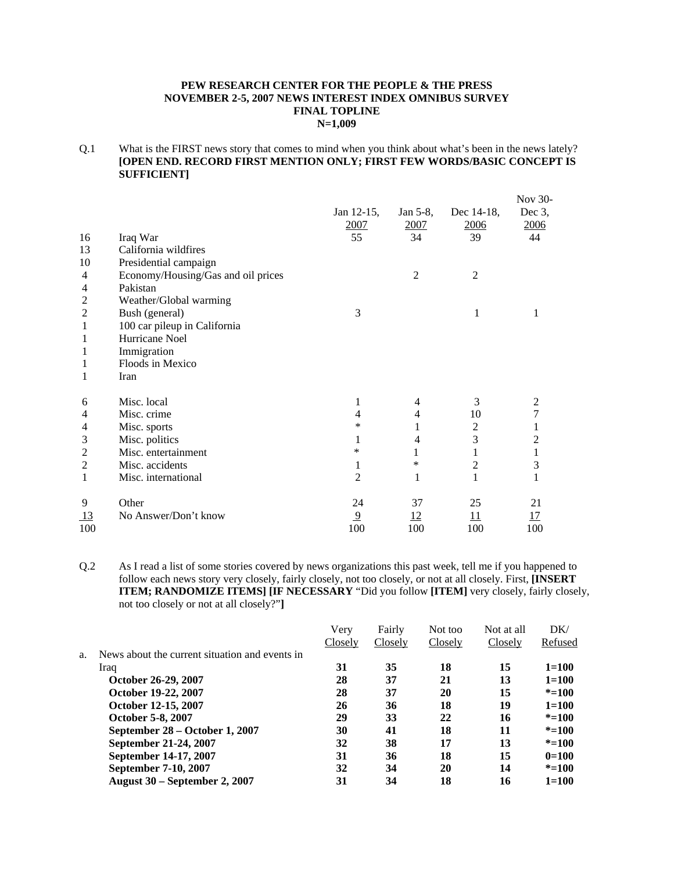#### **PEW RESEARCH CENTER FOR THE PEOPLE & THE PRESS NOVEMBER 2-5, 2007 NEWS INTEREST INDEX OMNIBUS SURVEY FINAL TOPLINE N=1,009**

Q.1 What is the FIRST news story that comes to mind when you think about what's been in the news lately? **[OPEN END. RECORD FIRST MENTION ONLY; FIRST FEW WORDS/BASIC CONCEPT IS SUFFICIENT]** 

|                |                                    |                |                |                | Nov 30-        |
|----------------|------------------------------------|----------------|----------------|----------------|----------------|
|                |                                    | Jan 12-15,     | Jan 5-8,       | Dec 14-18,     | Dec $3$ ,      |
|                |                                    | 2007           | <u>2007</u>    | 2006           | 2006           |
| 16             | Iraq War                           | 55             | 34             | 39             | 44             |
| 13             | California wildfires               |                |                |                |                |
| 10             | Presidential campaign              |                |                |                |                |
| 4              | Economy/Housing/Gas and oil prices |                | 2              | $\overline{2}$ |                |
| 4              | Pakistan                           |                |                |                |                |
| 2              | Weather/Global warming             |                |                |                |                |
| 2              | Bush (general)                     | 3              |                | 1              | 1              |
| 1              | 100 car pileup in California       |                |                |                |                |
| 1              | Hurricane Noel                     |                |                |                |                |
| 1              | Immigration                        |                |                |                |                |
| 1              | Floods in Mexico                   |                |                |                |                |
| 1              | Iran                               |                |                |                |                |
| 6              | Misc. local                        | 1              | 4              | 3              | 2              |
| 4              | Misc. crime                        | 4              | 4              | 10             | 7              |
| 4              | Misc. sports                       | *              | 1              | 2              |                |
| 3              | Misc. politics                     | 1              | $\overline{4}$ | 3              | $\overline{2}$ |
| $\overline{2}$ | Misc. entertainment                | *              | 1              | 1              | $\mathbf{1}$   |
| 2              | Misc. accidents                    | 1              | *              | 2              | 3              |
| 1              | Misc. international                | 2              | 1              | 1              | 1              |
| 9              | Other                              | 24             | 37             | 25             | 21             |
| 13             | No Answer/Don't know               | $\overline{9}$ | <u>12</u>      | 11             | <u>17</u>      |
| 100            |                                    | 100            | 100            | 100            | 100            |

Q.2 As I read a list of some stories covered by news organizations this past week, tell me if you happened to follow each news story very closely, fairly closely, not too closely, or not at all closely. First, **[INSERT ITEM; RANDOMIZE ITEMS] [IF NECESSARY** "Did you follow **[ITEM]** very closely, fairly closely, not too closely or not at all closely?"**]**

|    |                                                | Very    | Fairly  | Not too | Not at all | DK/       |
|----|------------------------------------------------|---------|---------|---------|------------|-----------|
|    |                                                | Closely | Closely | Closely | Closely    | Refused   |
| a. | News about the current situation and events in |         |         |         |            |           |
|    | Iraq                                           | 31      | 35      | 18      | 15         | $1 = 100$ |
|    | October 26-29, 2007                            | 28      | 37      | 21      | 13         | $1 = 100$ |
|    | October 19-22, 2007                            | 28      | 37      | 20      | 15         | $* = 100$ |
|    | October 12-15, 2007                            | 26      | 36      | 18      | 19         | $1 = 100$ |
|    | <b>October 5-8, 2007</b>                       | 29      | 33      | 22      | 16         | $* = 100$ |
|    | September 28 – October 1, 2007                 | 30      | 41      | 18      | 11         | $* = 100$ |
|    | September 21-24, 2007                          | 32      | 38      | 17      | 13         | $* = 100$ |
|    | September 14-17, 2007                          | 31      | 36      | 18      | 15         | $0=100$   |
|    | September 7-10, 2007                           | 32      | 34      | 20      | 14         | $* = 100$ |
|    | <b>August 30 – September 2, 2007</b>           | 31      | 34      | 18      | 16         | $1 = 100$ |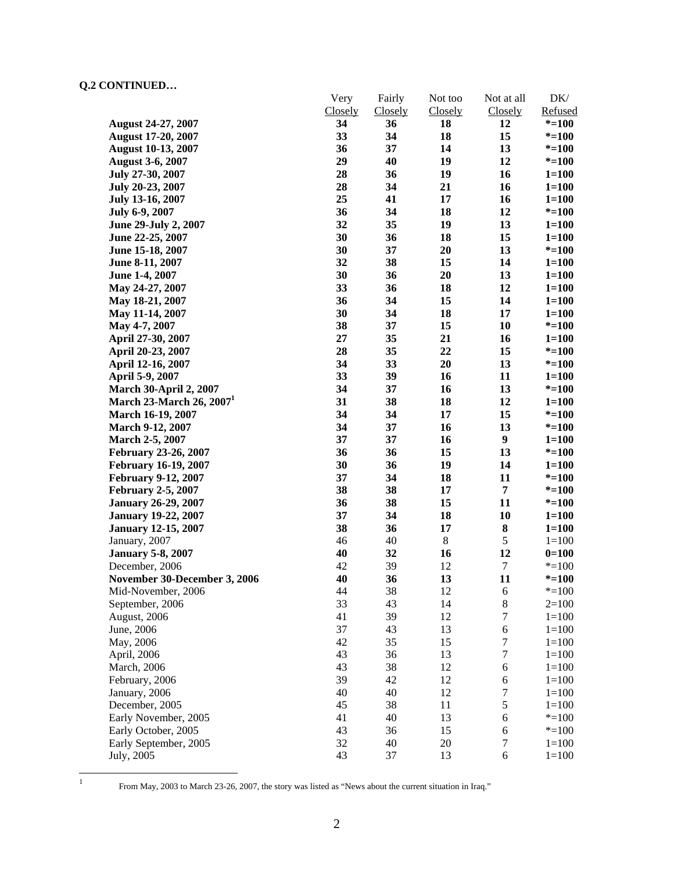|                               | Very<br>Closely | Fairly        | Not too<br>Closely | Not at all           | $DK/$<br>Refused |
|-------------------------------|-----------------|---------------|--------------------|----------------------|------------------|
| <b>August 24-27, 2007</b>     | 34              | Closely<br>36 | 18                 | <b>Closely</b><br>12 | $* = 100$        |
| <b>August 17-20, 2007</b>     | 33              | 34            | 18                 | 15                   | $* = 100$        |
| <b>August 10-13, 2007</b>     | 36              | 37            | 14                 | 13                   | $* = 100$        |
| <b>August 3-6, 2007</b>       | 29              | 40            | 19                 | 12                   | $* = 100$        |
| July 27-30, 2007              | 28              | 36            | 19                 | 16                   | $1 = 100$        |
| July 20-23, 2007              | 28              | 34            | 21                 | 16                   | $1 = 100$        |
| July 13-16, 2007              | 25              | 41            | 17                 | 16                   | $1 = 100$        |
| July 6-9, 2007                | 36              | 34            | 18                 | 12                   | $* = 100$        |
| June 29-July 2, 2007          | 32              | 35            | 19                 | 13                   | $1 = 100$        |
| June 22-25, 2007              | 30              | 36            | 18                 | 15                   | $1 = 100$        |
| June 15-18, 2007              | 30              | 37            | 20                 | 13                   | $* = 100$        |
| June 8-11, 2007               | 32              | 38            | 15                 | 14                   | $1 = 100$        |
| June 1-4, 2007                | 30              | 36            | 20                 | 13                   | $1 = 100$        |
| May 24-27, 2007               | 33              | 36            | 18                 | 12                   | $1 = 100$        |
| May 18-21, 2007               | 36              | 34            | 15                 | 14                   | $1 = 100$        |
| May 11-14, 2007               | 30              | 34            | 18                 | 17                   | $1 = 100$        |
| May 4-7, 2007                 | 38              | 37            | 15                 | 10                   | $* = 100$        |
| April 27-30, 2007             | 27              | 35            | 21                 | 16                   | $1 = 100$        |
| April 20-23, 2007             | 28              | 35            | 22                 | 15                   | $* = 100$        |
| April 12-16, 2007             | 34              | 33            | 20                 | 13                   | $* = 100$        |
| April 5-9, 2007               | 33              | 39            | 16                 | 11                   | $1 = 100$        |
| <b>March 30-April 2, 2007</b> | 34              | 37            | 16                 | 13                   | $* = 100$        |
| March 23-March 26, $20071$    | 31              | 38            | 18                 | 12                   | $1 = 100$        |
| March 16-19, 2007             | 34              | 34            | 17                 | 15                   | $* = 100$        |
| March 9-12, 2007              | 34              | 37            | 16                 | 13                   | $* = 100$        |
| March 2-5, 2007               | 37              | 37            | 16                 | $\boldsymbol{9}$     | $1 = 100$        |
| February 23-26, 2007          | 36              | 36            | 15                 | 13                   | $* = 100$        |
| <b>February 16-19, 2007</b>   | 30              | 36            | 19                 | 14                   | $1 = 100$        |
| <b>February 9-12, 2007</b>    | 37              | 34            | 18                 | 11                   | $* = 100$        |
| <b>February 2-5, 2007</b>     | 38              | 38            | 17                 | $\overline{7}$       | $* = 100$        |
| <b>January 26-29, 2007</b>    | 36              | 38            | 15                 | 11                   | $* = 100$        |
| <b>January 19-22, 2007</b>    | 37              | 34            | 18                 | 10                   | $1 = 100$        |
| <b>January 12-15, 2007</b>    | 38              | 36            | 17                 | ${\bf 8}$            | $1 = 100$        |
| January, 2007                 | 46              | 40            | $\,8\,$            | $\mathfrak s$        | $1 = 100$        |
| <b>January 5-8, 2007</b>      | 40              | 32            | 16                 | 12                   | $0=100$          |
| December, 2006                | 42              | 39            | 12                 | $\boldsymbol{7}$     | $* = 100$        |
| November 30-December 3, 2006  | 40              | 36            | 13                 | 11                   | $* = 100$        |
| Mid-November, 2006            | 44              | 38            | 12                 | 6                    | $* = 100$        |
| September, 2006               | 33              | 43            | 14                 | $\,$ 8 $\,$          | $2=100$          |
| August, 2006                  | 41              | 39            | 12                 | $\boldsymbol{7}$     | $1 = 100$        |
| June, 2006                    | 37              | 43            | 13                 | 6                    | $1 = 100$        |
| May, 2006                     | 42              | 35            | 15                 | $\boldsymbol{7}$     | $1 = 100$        |
| April, 2006                   | 43              | 36            | 13                 | $\boldsymbol{7}$     | $1 = 100$        |
| March, 2006                   | 43              | 38            | 12                 | $\sqrt{6}$           | $1 = 100$        |
| February, 2006                | 39              | 42            | 12                 | 6                    | $1 = 100$        |
| January, 2006                 | 40              | 40            | 12                 | 7                    | $1 = 100$        |
| December, 2005                | 45              | 38            | 11                 | $\sqrt{5}$           | $1 = 100$        |
| Early November, 2005          | 41              | 40            | 13                 | 6                    | $* = 100$        |
| Early October, 2005           | 43              | 36            | 15                 | $\boldsymbol{6}$     | $* = 100$        |
| Early September, 2005         | 32              | 40            | 20                 | $\tau$               | $1 = 100$        |
| July, 2005                    | 43              | 37            | 13                 | 6                    | $1 = 100$        |

 $\frac{1}{1}$ 

From May, 2003 to March 23-26, 2007, the story was listed as "News about the current situation in Iraq."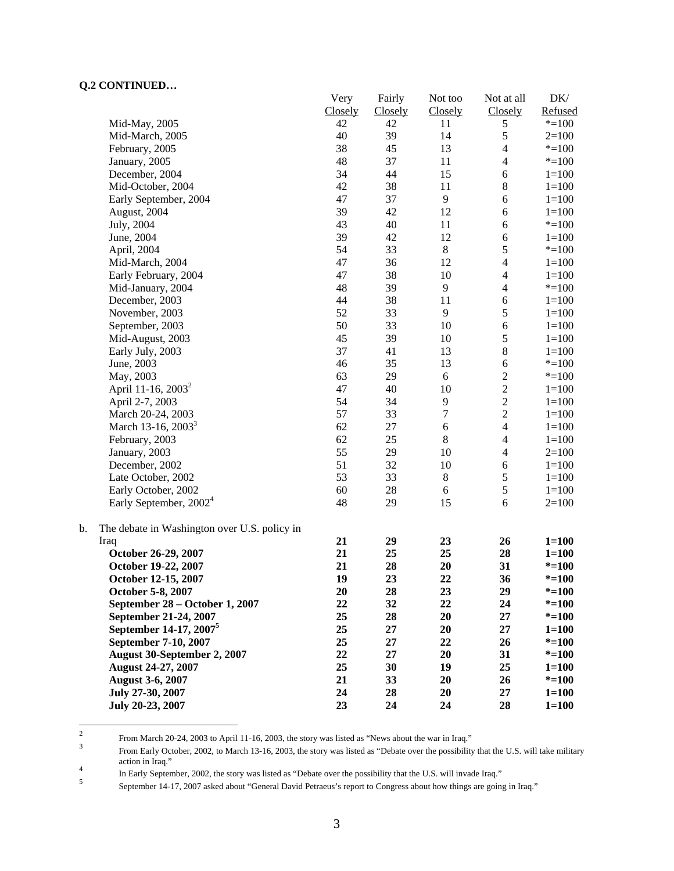|                                                    | Very    | Fairly  | Not too          | Not at all     | DK/       |
|----------------------------------------------------|---------|---------|------------------|----------------|-----------|
|                                                    | Closely | Closely | Closely          | Closely        | Refused   |
| Mid-May, 2005                                      | 42      | 42      | 11               | 5              | $* = 100$ |
| Mid-March, 2005                                    | 40      | 39      | 14               | 5              | $2=100$   |
| February, 2005                                     | 38      | 45      | 13               | $\overline{4}$ | $* = 100$ |
| January, 2005                                      | 48      | 37      | 11               | $\overline{4}$ | $* = 100$ |
| December, 2004                                     | 34      | 44      | 15               | 6              | $1 = 100$ |
| Mid-October, 2004                                  | 42      | 38      | 11               | $\,8\,$        | $1 = 100$ |
| Early September, 2004                              | 47      | 37      | $\overline{9}$   | 6              | $1 = 100$ |
| August, 2004                                       | 39      | 42      | 12               | $\sqrt{6}$     | $1 = 100$ |
| July, 2004                                         | 43      | 40      | 11               | $\sqrt{6}$     | $* = 100$ |
| June, 2004                                         | 39      | 42      | 12               | 6              | $1 = 100$ |
| April, 2004                                        | 54      | 33      | $8\,$            | $\sqrt{5}$     | $* = 100$ |
| Mid-March, 2004                                    | 47      | 36      | 12               | $\overline{4}$ | $1 = 100$ |
| Early February, 2004                               | 47      | 38      | 10               | $\overline{4}$ | $1 = 100$ |
| Mid-January, 2004                                  | 48      | 39      | $\overline{9}$   | $\overline{4}$ | $* = 100$ |
| December, 2003                                     | 44      | 38      | 11               | $\sqrt{6}$     | $1 = 100$ |
| November, 2003                                     | 52      | 33      | 9                | 5              | $1 = 100$ |
| September, 2003                                    | 50      | 33      | 10               | 6              | $1 = 100$ |
| Mid-August, 2003                                   | 45      | 39      | 10               | $\sqrt{5}$     | $1 = 100$ |
| Early July, 2003                                   | 37      | 41      | 13               | $\bf 8$        | $1 = 100$ |
| June, 2003                                         | 46      | 35      | 13               | 6              | $* = 100$ |
| May, 2003                                          | 63      | 29      | $6\,$            | $\overline{c}$ | $* = 100$ |
| April 11-16, 2003 <sup>2</sup>                     | 47      | 40      | 10               | $\overline{c}$ | $1 = 100$ |
| April 2-7, 2003                                    | 54      | 34      | 9                | $\overline{2}$ | $1 = 100$ |
| March 20-24, 2003                                  | 57      | 33      | $\boldsymbol{7}$ | $\overline{2}$ | $1 = 100$ |
| March 13-16, 2003 <sup>3</sup>                     | 62      | 27      | 6                | $\overline{4}$ | $1 = 100$ |
| February, 2003                                     | 62      | 25      | $\,8\,$          | $\overline{4}$ | $1 = 100$ |
| January, 2003                                      | 55      | 29      | 10               | $\overline{4}$ | $2=100$   |
| December, 2002                                     | 51      | 32      | 10               | 6              | $1 = 100$ |
| Late October, 2002                                 | 53      | 33      | $8\,$            | $\sqrt{5}$     | $1 = 100$ |
| Early October, 2002                                | 60      | 28      | $\sqrt{6}$       | $\sqrt{5}$     | $1 = 100$ |
| Early September, 2002 <sup>4</sup>                 | 48      | 29      | 15               | 6              | $2=100$   |
| b.<br>The debate in Washington over U.S. policy in |         |         |                  |                |           |
| Iraq                                               | 21      | 29      | 23               | 26             | $1 = 100$ |
| October 26-29, 2007                                | 21      | 25      | 25               | 28             | $1 = 100$ |
| October 19-22, 2007                                | 21      | 28      | 20               | 31             | $* = 100$ |
| October 12-15, 2007                                | 19      | 23      | 22               | 36             | $* = 100$ |
| October 5-8, 2007                                  | 20      | 28      | 23               | 29             | $* = 100$ |
| September 28 – October 1, 2007                     | 22      | 32      | 22               | 24             | $* = 100$ |
| September 21-24, 2007                              | 25      | 28      | 20               | $27\,$         | $* = 100$ |
| September 14-17, 2007 <sup>5</sup>                 | 25      | 27      | 20               | 27             | $1 = 100$ |
| September 7-10, 2007                               | 25      | 27      | 22               | 26             | $* = 100$ |
| <b>August 30-September 2, 2007</b>                 | 22      | 27      | 20               | 31             | $* = 100$ |
| August 24-27, 2007                                 | 25      | 30      | 19               | 25             | $1 = 100$ |
| <b>August 3-6, 2007</b>                            | 21      | 33      | 20               | 26             | $* = 100$ |
| July 27-30, 2007                                   | 24      | 28      | 20               | 27             | $1 = 100$ |
| July 20-23, 2007                                   | 23      | 24      | 24               | 28             | $1 = 100$ |

 $\frac{1}{2}$ From March 20-24, 2003 to April 11-16, 2003, the story was listed as "News about the war in Iraq."

From Early October, 2002, to March 13-16, 2003, the story was listed as "Debate over the possibility that the U.S. will take military action in Iraq."

In Early September, 2002, the story was listed as "Debate over the possibility that the U.S. will invade Iraq."<br>September 14.17, 2007 select about "Cancel David Betracus's generate Cancerse about haur things are going

September 14-17, 2007 asked about "General David Petraeus's report to Congress about how things are going in Iraq."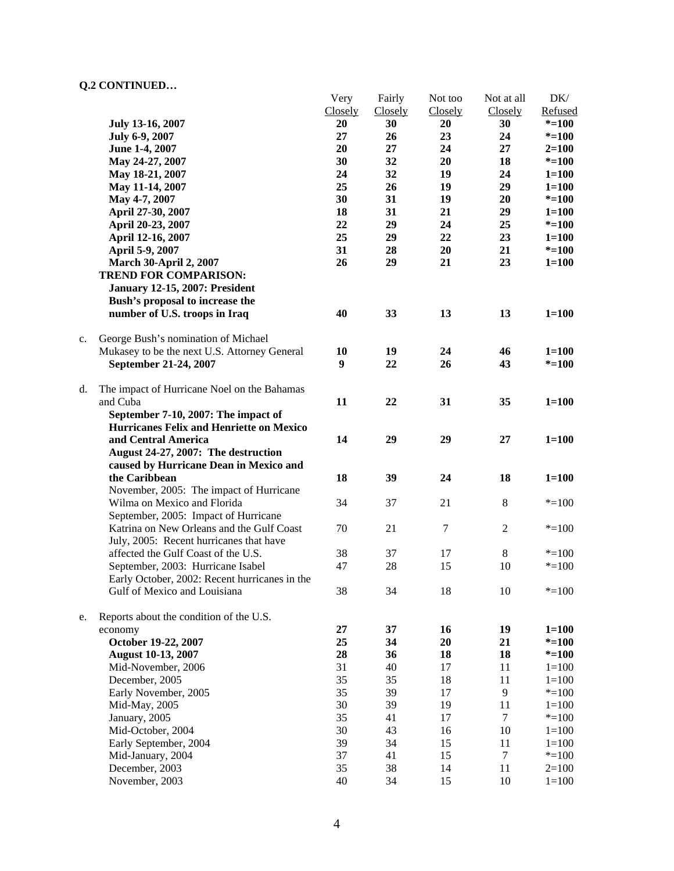|    |                                                 | Very    | Fairly  | Not too          | Not at all     | DK/       |
|----|-------------------------------------------------|---------|---------|------------------|----------------|-----------|
|    |                                                 | Closely | Closely | Closely          | Closely        | Refused   |
|    | July 13-16, 2007                                | 20      | 30      | 20               | 30             | $* = 100$ |
|    | July 6-9, 2007                                  | 27      | 26      | 23               | 24             | $* = 100$ |
|    | June 1-4, 2007                                  | 20      | 27      | 24               | 27             | $2=100$   |
|    | May 24-27, 2007                                 | 30      | 32      | 20               | 18             | $* = 100$ |
|    | May 18-21, 2007                                 | 24      | 32      | 19               | 24             | $1 = 100$ |
|    | May 11-14, 2007                                 | 25      | 26      | 19               | 29             | $1 = 100$ |
|    |                                                 | 30      | 31      | 19               | 20             |           |
|    | May 4-7, 2007                                   |         |         |                  |                | $* = 100$ |
|    | April 27-30, 2007                               | 18      | 31      | 21               | 29             | $1 = 100$ |
|    | April 20-23, 2007                               | 22      | 29      | 24               | 25             | $* = 100$ |
|    | April 12-16, 2007                               | 25      | 29      | 22               | 23             | $1 = 100$ |
|    | April 5-9, 2007                                 | 31      | 28      | 20               | 21             | $* = 100$ |
|    | <b>March 30-April 2, 2007</b>                   | 26      | 29      | 21               | 23             | $1 = 100$ |
|    | <b>TREND FOR COMPARISON:</b>                    |         |         |                  |                |           |
|    | January 12-15, 2007: President                  |         |         |                  |                |           |
|    | Bush's proposal to increase the                 |         |         |                  |                |           |
|    | number of U.S. troops in Iraq                   | 40      | 33      | 13               | 13             | $1 = 100$ |
|    |                                                 |         |         |                  |                |           |
| c. | George Bush's nomination of Michael             |         |         |                  |                |           |
|    | Mukasey to be the next U.S. Attorney General    | 10      | 19      | 24               | 46             | $1 = 100$ |
|    | September 21-24, 2007                           | 9       | 22      | 26               | 43             | $* = 100$ |
|    |                                                 |         |         |                  |                |           |
| d. | The impact of Hurricane Noel on the Bahamas     |         |         |                  |                |           |
|    | and Cuba                                        | 11      | 22      | 31               | 35             | $1 = 100$ |
|    | September 7-10, 2007: The impact of             |         |         |                  |                |           |
|    | <b>Hurricanes Felix and Henriette on Mexico</b> |         |         |                  |                |           |
|    |                                                 |         |         |                  |                |           |
|    | and Central America                             | 14      | 29      | 29               | 27             | $1 = 100$ |
|    | August 24-27, 2007: The destruction             |         |         |                  |                |           |
|    | caused by Hurricane Dean in Mexico and          |         |         |                  |                |           |
|    | the Caribbean                                   | 18      | 39      | 24               | 18             | $1 = 100$ |
|    | November, 2005: The impact of Hurricane         |         |         |                  |                |           |
|    | Wilma on Mexico and Florida                     | 34      | 37      | 21               | $\,8\,$        | $* = 100$ |
|    | September, 2005: Impact of Hurricane            |         |         |                  |                |           |
|    | Katrina on New Orleans and the Gulf Coast       | 70      | 21      | $\boldsymbol{7}$ | $\overline{2}$ | $* = 100$ |
|    | July, 2005: Recent hurricanes that have         |         |         |                  |                |           |
|    | affected the Gulf Coast of the U.S.             | 38      | 37      | 17               | 8              | $* = 100$ |
|    | September, 2003: Hurricane Isabel               | 47      | 28      | 15               | 10             | $* = 100$ |
|    | Early October, 2002: Recent hurricanes in the   |         |         |                  |                |           |
|    | Gulf of Mexico and Louisiana                    | 38      | 34      | 18               | 10             | $* = 100$ |
|    |                                                 |         |         |                  |                |           |
| e. | Reports about the condition of the U.S.         |         |         |                  |                |           |
|    | economy                                         | 27      | 37      | 16               | 19             | $1 = 100$ |
|    | October 19-22, 2007                             | 25      | 34      | 20               | 21             | $* = 100$ |
|    |                                                 |         |         |                  |                |           |
|    | <b>August 10-13, 2007</b>                       | 28      | 36      | 18               | 18             | $* = 100$ |
|    | Mid-November, 2006                              | 31      | 40      | 17               | 11             | $1 = 100$ |
|    | December, 2005                                  | 35      | 35      | 18               | 11             | $1 = 100$ |
|    | Early November, 2005                            | 35      | 39      | 17               | $\overline{9}$ | $* = 100$ |
|    | Mid-May, 2005                                   | 30      | 39      | 19               | 11             | $1 = 100$ |
|    | January, 2005                                   | 35      | 41      | 17               | $\tau$         | $* = 100$ |
|    | Mid-October, 2004                               | 30      | 43      | 16               | 10             | $1 = 100$ |
|    | Early September, 2004                           | 39      | 34      | 15               | 11             | $1 = 100$ |
|    | Mid-January, 2004                               | 37      | 41      | 15               | $\tau$         | $* = 100$ |
|    | December, 2003                                  | 35      | 38      | 14               | 11             | $2=100$   |
|    | November, 2003                                  | 40      | 34      | 15               | 10             | $1 = 100$ |
|    |                                                 |         |         |                  |                |           |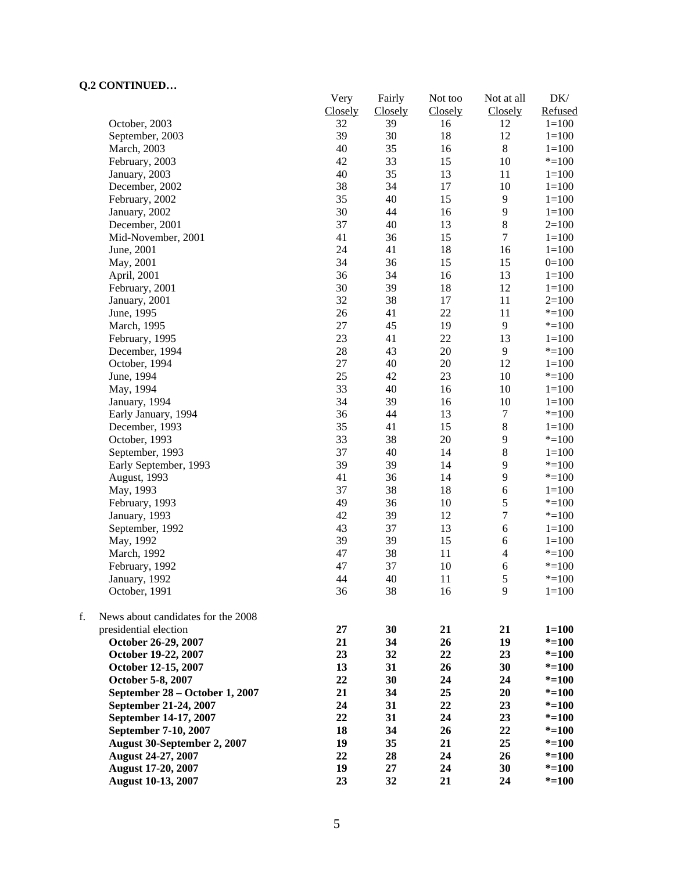|    | CONTROLLOW                         | Very<br>Closely | Fairly        | Not too       | Not at all               | $DK/$<br>Refused |
|----|------------------------------------|-----------------|---------------|---------------|--------------------------|------------------|
|    | October, 2003                      | 32              | Closely<br>39 | Closely<br>16 | Closely<br>12            | $1 = 100$        |
|    | September, 2003                    | 39              | 30            | 18            | 12                       | $1 = 100$        |
|    | March, 2003                        | 40              | 35            | 16            | $\,8\,$                  | $1 = 100$        |
|    | February, 2003                     | 42              | 33            | 15            | 10                       | $* = 100$        |
|    | January, 2003                      | 40              | 35            | 13            | 11                       | $1 = 100$        |
|    | December, 2002                     | 38              | 34            | 17            | 10                       | $1 = 100$        |
|    | February, 2002                     | 35              | 40            | 15            | $\mathbf{9}$             | $1 = 100$        |
|    | January, 2002                      | 30              | 44            | 16            | 9                        | $1 = 100$        |
|    | December, 2001                     | 37              | 40            | 13            | $\,8\,$                  | $2=100$          |
|    | Mid-November, 2001                 | 41              | 36            | 15            | $\boldsymbol{7}$         | $1 = 100$        |
|    | June, 2001                         | 24              | 41            | 18            | 16                       | $1 = 100$        |
|    | May, 2001                          | 34              | 36            | 15            | 15                       | $0=100$          |
|    | April, 2001                        | 36              | 34            | 16            | 13                       | $1 = 100$        |
|    | February, 2001                     | 30              | 39            | 18            | 12                       | $1 = 100$        |
|    | January, 2001                      | 32              | 38            | 17            | 11                       | $2=100$          |
|    | June, 1995                         | 26              | 41            | 22            | 11                       | $* = 100$        |
|    |                                    | $27\,$          | 45            | 19            | 9                        | $* = 100$        |
|    | March, 1995                        |                 |               | 22            |                          |                  |
|    | February, 1995                     | 23              | 41            |               | 13                       | $1 = 100$        |
|    | December, 1994                     | 28              | 43            | 20            | 9                        | $* = 100$        |
|    | October, 1994                      | $27\,$          | 40            | 20            | 12                       | $1 = 100$        |
|    | June, 1994                         | 25              | 42            | 23            | $10\,$                   | $* = 100$        |
|    | May, 1994                          | 33              | 40            | 16            | 10                       | $1 = 100$        |
|    | January, 1994                      | 34              | 39            | 16            | 10                       | $1 = 100$        |
|    | Early January, 1994                | 36              | 44            | 13            | $\boldsymbol{7}$         | $* = 100$        |
|    | December, 1993                     | 35              | 41            | 15            | $\,$ 8 $\,$              | $1 = 100$        |
|    | October, 1993                      | 33              | 38            | 20            | 9                        | $* = 100$        |
|    | September, 1993                    | 37              | 40            | 14            | 8                        | $1 = 100$        |
|    | Early September, 1993              | 39              | 39            | 14            | 9                        | $* = 100$        |
|    | August, 1993                       | 41              | 36            | 14            | 9                        | $* = 100$        |
|    | May, 1993                          | 37              | 38            | 18            | 6                        | $1 = 100$        |
|    | February, 1993                     | 49              | 36            | 10            | $\sqrt{5}$               | $* = 100$        |
|    | January, 1993                      | 42              | 39            | 12            | $\boldsymbol{7}$         | $* = 100$        |
|    | September, 1992                    | 43              | 37            | 13            | $\epsilon$               | $1 = 100$        |
|    | May, 1992                          | 39              | 39            | 15            | 6                        | $1 = 100$        |
|    | March, 1992                        | 47              | 38            | 11            | $\overline{\mathcal{L}}$ | $* = 100$        |
|    | February, 1992                     | 47              | 37            | 10            | $\boldsymbol{6}$         | $* = 100$        |
|    | January, 1992                      | 44              | 40            | 11            | 5                        | $* = 100$        |
|    | October, 1991                      | 36              | 38            | 16            | 9                        | $1 = 100$        |
| f. | News about candidates for the 2008 |                 |               |               |                          |                  |
|    | presidential election              | 27              | 30            | 21            | 21                       | $1 = 100$        |
|    | October 26-29, 2007                | 21              | 34            | 26            | 19                       | $* = 100$        |
|    | October 19-22, 2007                | 23              | 32            | 22            | 23                       | $* = 100$        |
|    | October 12-15, 2007                | 13              | 31            | 26            | 30                       | $* = 100$        |
|    | October 5-8, 2007                  | 22              | 30            | 24            | 24                       | $* = 100$        |
|    | September 28 - October 1, 2007     | 21              | 34            | 25            | 20                       | $* = 100$        |
|    | September 21-24, 2007              | 24              | 31            | 22            | 23                       | $* = 100$        |
|    | September 14-17, 2007              | 22              | 31            | 24            | 23                       | $* = 100$        |
|    | September 7-10, 2007               | 18              | 34            | 26            | 22                       | $* = 100$        |
|    | August 30-September 2, 2007        | 19              | 35            | 21            | 25                       | $* = 100$        |
|    | <b>August 24-27, 2007</b>          | 22              | 28            | 24            | 26                       | $* = 100$        |
|    | <b>August 17-20, 2007</b>          | 19              | 27            | 24            | 30                       | $* = 100$        |
|    | <b>August 10-13, 2007</b>          | 23              | 32            | 21            | 24                       | $* = 100$        |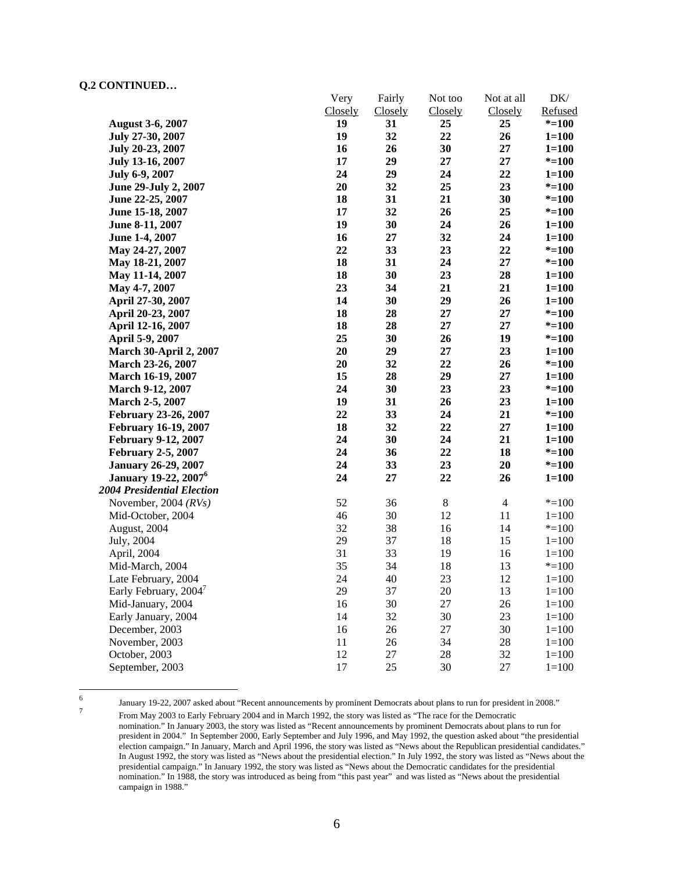|                                         | Very    | Fairly         | Not too | Not at all     | DK/       |
|-----------------------------------------|---------|----------------|---------|----------------|-----------|
|                                         | Closely | <b>Closely</b> | Closely | Closely        | Refused   |
| <b>August 3-6, 2007</b>                 | 19      | 31             | 25      | 25             | $* = 100$ |
| July 27-30, 2007                        | 19      | 32             | 22      | 26             | $1 = 100$ |
| July 20-23, 2007                        | 16      | 26             | 30      | 27             | $1 = 100$ |
| July 13-16, 2007                        | 17      | 29             | $27\,$  | 27             | $* = 100$ |
| July 6-9, 2007                          | 24      | 29             | 24      | 22             | $1 = 100$ |
| June 29-July 2, 2007                    | 20      | 32             | 25      | 23             | $* = 100$ |
| June 22-25, 2007                        | 18      | 31             | 21      | 30             | $* = 100$ |
| June 15-18, 2007                        | 17      | 32             | 26      | 25             | $* = 100$ |
| June 8-11, 2007                         | 19      | 30             | 24      | 26             | $1 = 100$ |
| June 1-4, 2007                          | 16      | 27             | 32      | 24             | $1 = 100$ |
| May 24-27, 2007                         | 22      | 33             | 23      | 22             | $* = 100$ |
| May 18-21, 2007                         | 18      | 31             | 24      | 27             | $* = 100$ |
| May 11-14, 2007                         | 18      | 30             | 23      | 28             | $1 = 100$ |
| May 4-7, 2007                           | 23      | 34             | 21      | 21             | $1 = 100$ |
| April 27-30, 2007                       | 14      | 30             | 29      | 26             | $1 = 100$ |
| April 20-23, 2007                       | 18      | 28             | 27      | 27             | $* = 100$ |
| April 12-16, 2007                       | 18      | 28             | 27      | $27\,$         | $* = 100$ |
| April 5-9, 2007                         | 25      | 30             | 26      | 19             | $* = 100$ |
| <b>March 30-April 2, 2007</b>           | 20      | 29             | 27      | 23             | $1 = 100$ |
| <b>March 23-26, 2007</b>                | 20      | 32             | 22      | 26             | $* = 100$ |
| March 16-19, 2007                       | 15      | 28             | 29      | 27             | $1 = 100$ |
| <b>March 9-12, 2007</b>                 | 24      | 30             | 23      | 23             | $* = 100$ |
| March 2-5, 2007                         | 19      | 31             | 26      | 23             | $1 = 100$ |
| February 23-26, 2007                    | 22      | 33             | 24      | 21             | $* = 100$ |
| <b>February 16-19, 2007</b>             | 18      | 32             | 22      | 27             | $1 = 100$ |
| <b>February 9-12, 2007</b>              | 24      | 30             | 24      | 21             | $1 = 100$ |
| <b>February 2-5, 2007</b>               | 24      | 36             | 22      | 18             | $* = 100$ |
| <b>January 26-29, 2007</b>              | 24      | 33             | 23      | 20             | $* = 100$ |
| <b>January 19-22, 2007</b> <sup>6</sup> | 24      | 27             | 22      | 26             | $1 = 100$ |
| 2004 Presidential Election              |         |                |         |                |           |
| November, 2004 $(RVs)$                  | 52      | 36             | $8\,$   | $\overline{4}$ | $* = 100$ |
| Mid-October, 2004                       | 46      | 30             | 12      | 11             | $1 = 100$ |
| August, 2004                            | 32      | 38             | 16      | 14             | $* = 100$ |
| July, 2004                              | 29      | 37             | 18      | 15             | $1 = 100$ |
| April, 2004                             | 31      | 33             | 19      | 16             | $1 = 100$ |
| Mid-March, 2004                         | 35      | 34             | 18      | 13             | $* = 100$ |
| Late February, 2004                     | 24      | 40             | 23      | 12             | $1 = 100$ |
| Early February, 2004 <sup>7</sup>       | 29      | 37             | 20      | 13             | $1 = 100$ |
| Mid-January, 2004                       | 16      | 30             | 27      | 26             | $1 = 100$ |
| Early January, 2004                     | 14      | 32             | 30      | 23             | $1 = 100$ |
| December, 2003                          | 16      | 26             | 27      | 30             | $1 = 100$ |
| November, 2003                          | 11      | 26             | 34      | 28             | $1 = 100$ |
| October, 2003                           | 12      | 27             | 28      | 32             | $1 = 100$ |
| September, 2003                         | 17      | 25             | 30      | 27             | $1 = 100$ |

 $\frac{1}{6}$ 

<sup>6</sup> January 19-22, 2007 asked about "Recent announcements by prominent Democrats about plans to run for president in 2008." From May 2003 to Early February 2004 and in March 1992, the story was listed as "The race for the Democratic nomination." In January 2003, the story was listed as "Recent announcements by prominent Democrats about plans to run for president in 2004." In September 2000, Early September and July 1996, and May 1992, the question asked about "the presidential election campaign." In January, March and April 1996, the story was listed as "News about the Republican presidential candidates." In August 1992, the story was listed as "News about the presidential election." In July 1992, the story was listed as "News about the presidential campaign." In January 1992, the story was listed as "News about the Democratic candidates for the presidential nomination." In 1988, the story was introduced as being from "this past year" and was listed as "News about the presidential campaign in 1988."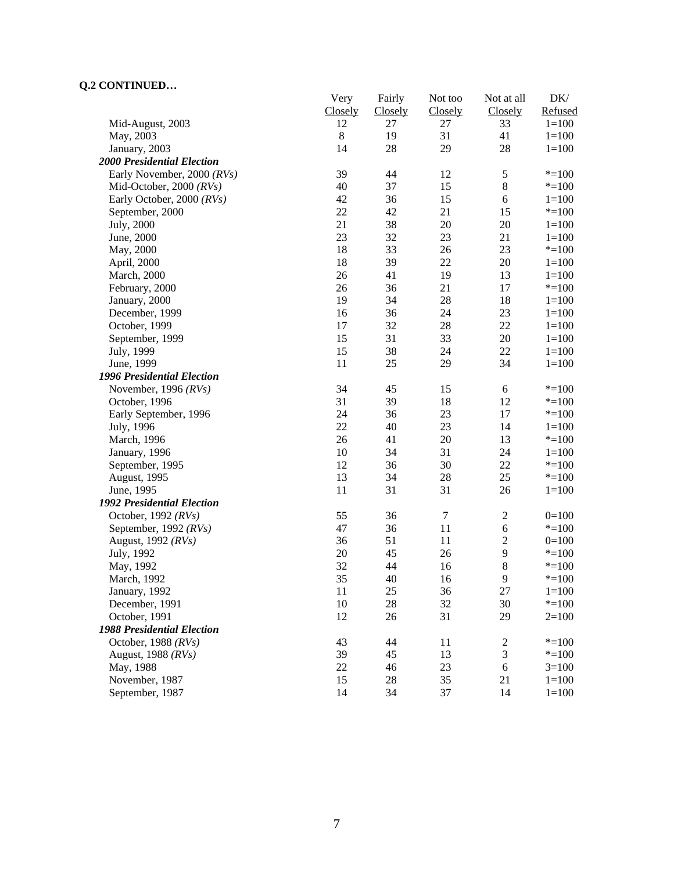| CONTRACED                         | Very    | Fairly         | Not too | Not at all       | DK/       |
|-----------------------------------|---------|----------------|---------|------------------|-----------|
|                                   | Closely | <b>Closely</b> | Closely | <b>Closely</b>   | Refused   |
| Mid-August, 2003                  | 12      | 27             | 27      | 33               | $1 = 100$ |
| May, 2003                         | $\,8\,$ | 19             | 31      | 41               | $1 = 100$ |
| January, 2003                     | 14      | 28             | 29      | 28               | $1 = 100$ |
| <b>2000 Presidential Election</b> |         |                |         |                  |           |
| Early November, 2000 (RVs)        | 39      | 44             | 12      | $\sqrt{5}$       | $* = 100$ |
| Mid-October, 2000 $(RVs)$         | 40      | 37             | 15      | $\bf 8$          | $* = 100$ |
| Early October, 2000 (RVs)         | 42      | 36             | 15      | 6                | $1 = 100$ |
| September, 2000                   | 22      | 42             | 21      | 15               | $* = 100$ |
| July, 2000                        | 21      | 38             | 20      | 20               | $1 = 100$ |
| June, 2000                        | 23      | 32             | 23      | 21               | $1=100$   |
| May, 2000                         | 18      | 33             | 26      | 23               | $* = 100$ |
| April, 2000                       | 18      | 39             | 22      | 20               | $1 = 100$ |
| March, 2000                       | 26      | 41             | 19      | 13               | $1=100$   |
| February, 2000                    | 26      | 36             | 21      | 17               | $* = 100$ |
| January, 2000                     | 19      | 34             | 28      | 18               | $1 = 100$ |
| December, 1999                    | 16      | 36             | 24      | 23               | $1 = 100$ |
| October, 1999                     | 17      | 32             | $28\,$  | 22               | $1 = 100$ |
| September, 1999                   | 15      | 31             | 33      | 20               | $1 = 100$ |
| July, 1999                        | 15      | 38             | 24      | 22               | $1 = 100$ |
| June, 1999                        | 11      | 25             | 29      | 34               | $1 = 100$ |
| 1996 Presidential Election        |         |                |         |                  |           |
| November, 1996 $(RVs)$            | 34      | 45             | 15      | 6                | $* = 100$ |
| October, 1996                     | 31      | 39             | 18      | 12               | $* = 100$ |
| Early September, 1996             | 24      | 36             | 23      | 17               | $* = 100$ |
| July, 1996                        | 22      | 40             | 23      | 14               | $1 = 100$ |
| March, 1996                       | 26      | 41             | $20\,$  | 13               | $* = 100$ |
| January, 1996                     | 10      | 34             | 31      | 24               | $1 = 100$ |
| September, 1995                   | 12      | 36             | 30      | 22               | $* = 100$ |
| August, 1995                      | 13      | 34             | $28\,$  | 25               | $* = 100$ |
| June, 1995                        | 11      | 31             | 31      | 26               | $1 = 100$ |
| <b>1992 Presidential Election</b> |         |                |         |                  |           |
| October, 1992 $(RVs)$             | 55      | 36             | $\tau$  | $\boldsymbol{2}$ | $0=100$   |
| September, 1992 (RVs)             | 47      | 36             | 11      | 6                | $* = 100$ |
| August, 1992 (RVs)                | 36      | 51             | 11      | $\mathbf{2}$     | $0=100$   |
| July, 1992                        | 20      | 45             | 26      | $\mathbf{9}$     | $* = 100$ |
| May, 1992                         | 32      | 44             | 16      | 8                | $* = 100$ |
| March, 1992                       | 35      | 40             | 16      | 9                | $* = 100$ |
| January, 1992                     | 11      | 25             | 36      | 27               | $1 = 100$ |
| December, 1991                    | $10\,$  | 28             | 32      | 30               | $* = 100$ |
| October, 1991                     | 12      | 26             | 31      | 29               | $2=100$   |
| <b>1988 Presidential Election</b> |         |                |         |                  |           |
| October, 1988 $(RVs)$             | 43      | 44             | 11      | $\overline{c}$   | $* = 100$ |
| August, 1988 (RVs)                | 39      | 45             | 13      | $\mathfrak{Z}$   | $* = 100$ |
| May, 1988                         | 22      | 46             | 23      | 6                | $3=100$   |
| November, 1987                    | 15      | 28             | 35      | 21               | $1 = 100$ |
| September, 1987                   | 14      | 34             | 37      | 14               | $1 = 100$ |
|                                   |         |                |         |                  |           |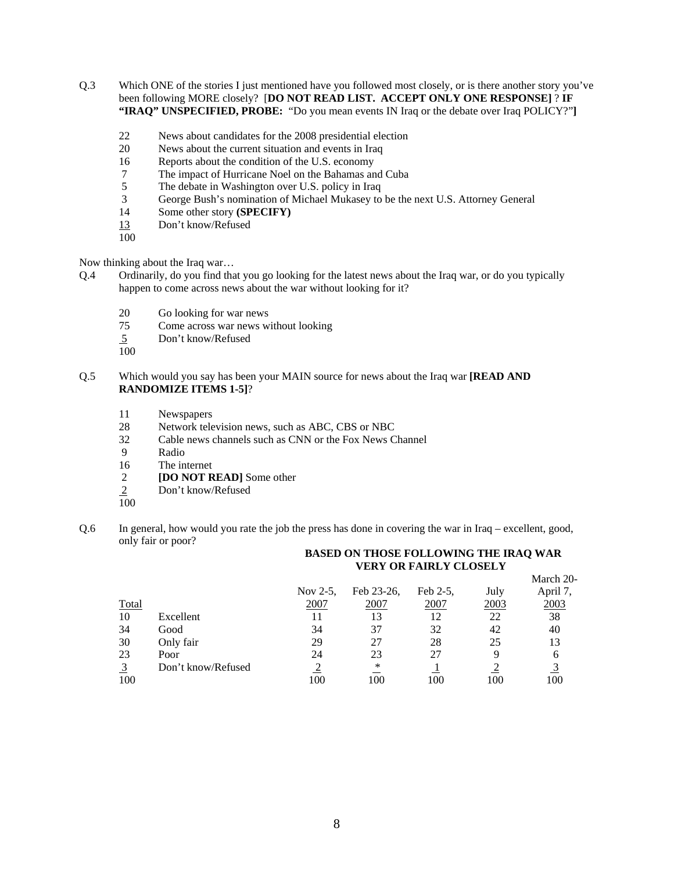- Q.3 Which ONE of the stories I just mentioned have you followed most closely, or is there another story you've been following MORE closely? [**DO NOT READ LIST. ACCEPT ONLY ONE RESPONSE]** ? **IF "IRAQ" UNSPECIFIED, PROBE:** "Do you mean events IN Iraq or the debate over Iraq POLICY?"**]**
	- 22 News about candidates for the 2008 presidential election
	- 20 News about the current situation and events in Iraq
	- 16 Reports about the condition of the U.S. economy
	- 7 The impact of Hurricane Noel on the Bahamas and Cuba
	- 5 The debate in Washington over U.S. policy in Iraq<br>
	3 George Bush's nomination of Michael Mukasey to
	- George Bush's nomination of Michael Mukasey to be the next U.S. Attorney General
	- 14 Some other story **(SPECIFY)**
	- 13 Don't know/Refused
	- 100

Now thinking about the Iraq war…

- Q.4 Ordinarily, do you find that you go looking for the latest news about the Iraq war, or do you typically happen to come across news about the war without looking for it?
	- 20 Go looking for war news
	- 75 Come across war news without looking
	- 5 Don't know/Refused
	- 100
- Q.5 Which would you say has been your MAIN source for news about the Iraq war **[READ AND RANDOMIZE ITEMS 1-5]**?
	- 11 Newspapers
	- 28 Network television news, such as ABC, CBS or NBC
	- 32 Cable news channels such as CNN or the Fox News Channel
	- 9 Radio
	- 16 The internet
	- 2 **[DO NOT READ]** Some other<br>2 Don't know/Refused
	- Don't know/Refused
	- 100
- Q.6 In general, how would you rate the job the press has done in covering the war in Iraq excellent, good, only fair or poor?

### **BASED ON THOSE FOLLOWING THE IRAQ WAR VERY OR FAIRLY CLOSELY**

|                |                    |             |            |          |      | March 20- |
|----------------|--------------------|-------------|------------|----------|------|-----------|
|                |                    | Nov $2-5$ , | Feb 23-26, | Feb 2-5, | July | April 7,  |
|                | Total              | 2007        | 2007       | 2007     | 2003 | 2003      |
| 10             | Excellent          |             | 13         |          | 22   | 38        |
| 34             | Good               | 34          | 37         | 32       | 42   | 40        |
| 30             | Only fair          | 29          | 27         | 28       | 25   | 13        |
| 23             | Poor               | 24          | 23         | 27       | q    | h         |
| $\overline{3}$ | Don't know/Refused |             | ∗          |          |      |           |
|                | 100                | 00          | 100        | 100      | 100  | 100       |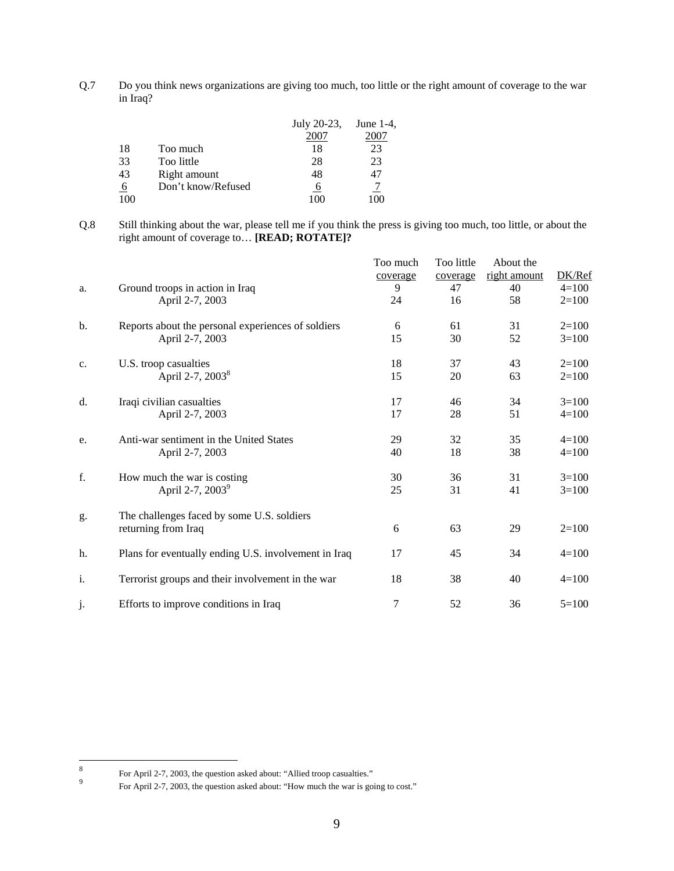Q.7 Do you think news organizations are giving too much, too little or the right amount of coverage to the war in Iraq?

|     |                    | July 20-23, | June $1-4$ , |
|-----|--------------------|-------------|--------------|
|     |                    | 2007        |              |
| 18  | Too much           | 18          | 23           |
| 33  | Too little         | 28          | 23           |
| 43  | Right amount       | 48          |              |
| 6   | Don't know/Refused | O           |              |
| 100 |                    | 100         | $\alpha$     |

Q.8 Still thinking about the war, please tell me if you think the press is giving too much, too little, or about the right amount of coverage to… **[READ; ROTATE]?**

| a. | Ground troops in action in Iraq<br>April 2-7, 2003                | Too much<br>coverage<br>9<br>24 | Too little<br>coverage<br>47<br>16 | About the<br>right amount<br>40<br>58 | DK/Ref<br>$4 = 100$<br>$2=100$ |
|----|-------------------------------------------------------------------|---------------------------------|------------------------------------|---------------------------------------|--------------------------------|
| b. | Reports about the personal experiences of soldiers                | 6                               | 61                                 | 31                                    | $2=100$                        |
|    | April 2-7, 2003                                                   | 15                              | 30                                 | 52                                    | $3=100$                        |
| c. | U.S. troop casualties                                             | 18                              | 37                                 | 43                                    | $2=100$                        |
|    | April 2-7, 2003 <sup>8</sup>                                      | 15                              | 20                                 | 63                                    | $2=100$                        |
| d. | Iraqi civilian casualties                                         | 17                              | 46                                 | 34                                    | $3=100$                        |
|    | April 2-7, 2003                                                   | 17                              | 28                                 | 51                                    | $4=100$                        |
| e. | Anti-war sentiment in the United States                           | 29                              | 32                                 | 35                                    | $4 = 100$                      |
|    | April 2-7, 2003                                                   | 40                              | 18                                 | 38                                    | $4=100$                        |
| f. | How much the war is costing                                       | 30                              | 36                                 | 31                                    | $3=100$                        |
|    | April 2-7, 2003 <sup>9</sup>                                      | 25                              | 31                                 | 41                                    | $3=100$                        |
| g. | The challenges faced by some U.S. soldiers<br>returning from Iraq | 6                               | 63                                 | 29                                    | $2=100$                        |
| h. | Plans for eventually ending U.S. involvement in Iraq              | 17                              | 45                                 | 34                                    | $4=100$                        |
| i. | Terrorist groups and their involvement in the war                 | 18                              | 38                                 | 40                                    | $4=100$                        |
| j. | Efforts to improve conditions in Iraq                             | $\tau$                          | 52                                 | 36                                    | $5=100$                        |

 8 For April 2-7, 2003, the question asked about: "Allied troop casualties."<br>  $\frac{9}{2}$  For April 2.7, 2003, the question select about: "Here mush the use is asi

For April 2-7, 2003, the question asked about: "How much the war is going to cost."